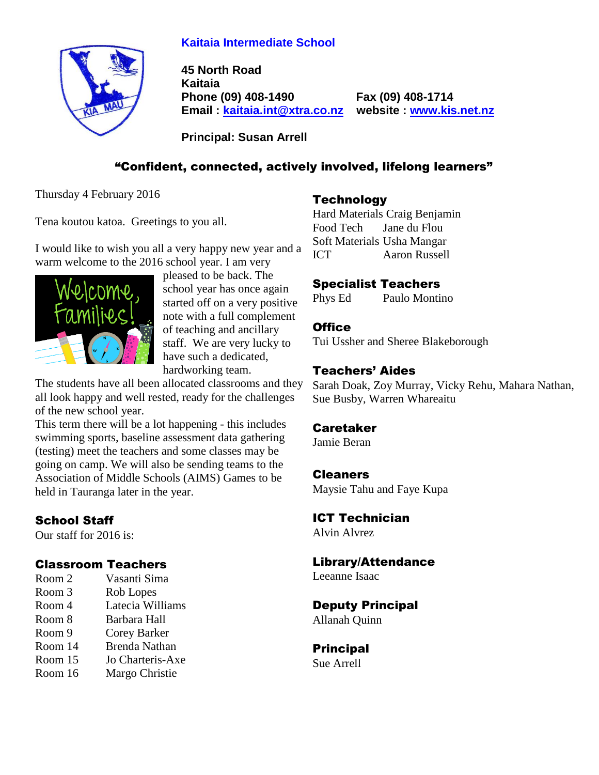## **Kaitaia Intermediate School**



**45 North Road Kaitaia Phone (09) 408-1490 Fax (09) 408-1714 Email : [kaitaia.int@xtra.co.nz](mailto:kaitaia.int@xtra.co.nz) website : [www.kis.net.nz](file:///C:/Documents%20and%20Settings/Principal/Desktop/Kelvin%201/Letterhead%20-%20Kelvin/www.kis.net.nz)**

**Principal: Susan Arrell**

## "Confident, connected, actively involved, lifelong learners"

Thursday 4 February 2016

Tena koutou katoa. Greetings to you all.

I would like to wish you all a very happy new year and a warm welcome to the 2016 school year. I am very



pleased to be back. The school year has once again started off on a very positive note with a full complement of teaching and ancillary staff. We are very lucky to have such a dedicated, hardworking team.

The students have all been allocated classrooms and they all look happy and well rested, ready for the challenges of the new school year.

This term there will be a lot happening - this includes swimming sports, baseline assessment data gathering (testing) meet the teachers and some classes may be going on camp. We will also be sending teams to the Association of Middle Schools (AIMS) Games to be held in Tauranga later in the year.

# School Staff

Our staff for 2016 is:

## Classroom Teachers

- Room 2 Vasanti Sima
- Room 3 Rob Lopes
- Room 4 Latecia Williams
- Room 8 Barbara Hall
- Room 9 Corey Barker
- Room 14 Brenda Nathan
- Room 15 Jo Charteris-Axe
- Room 16 Margo Christie

## **Technology**

Hard Materials Craig Benjamin Food Tech Jane du Flou Soft Materials Usha Mangar ICT Aaron Russell

## Specialist Teachers

Phys Ed Paulo Montino

## **Office**

Tui Ussher and Sheree Blakeborough

## Teachers' Aides

Sarah Doak, Zoy Murray, Vicky Rehu, Mahara Nathan, Sue Busby, Warren Whareaitu

## Caretaker

Jamie Beran

## Cleaners

Maysie Tahu and Faye Kupa

# ICT Technician

Alvin Alvrez

## Library/Attendance

Leeanne Isaac

## Deputy Principal

Allanah Quinn

#### Principal Sue Arrell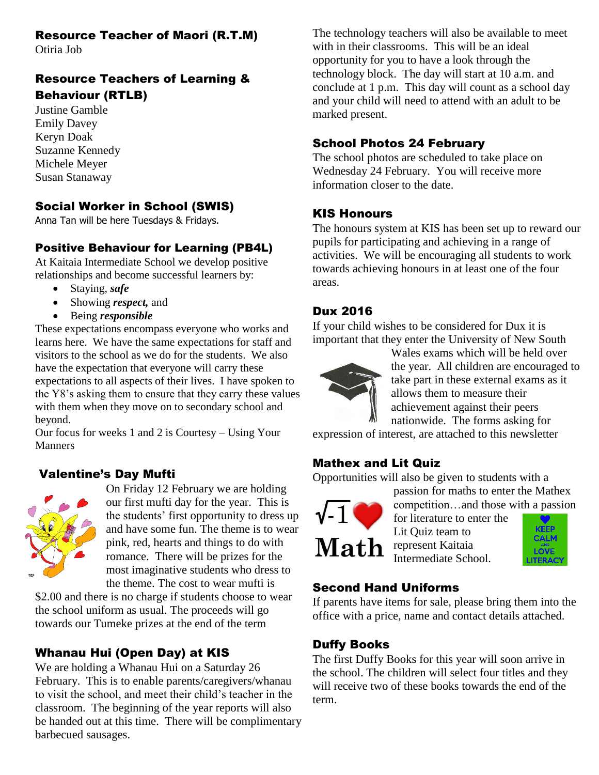## Resource Teacher of Maori (R.T.M)

Otiria Job

## Resource Teachers of Learning & Behaviour (RTLB)

Justine Gamble Emily Davey Keryn Doak Suzanne Kennedy Michele Meyer Susan Stanaway

## Social Worker in School (SWIS)

Anna Tan will be here Tuesdays & Fridays.

## Positive Behaviour for Learning (PB4L)

At Kaitaia Intermediate School we develop positive relationships and become successful learners by:

- Staying, *safe*
- Showing *respect,* and
- Being *responsible*

These expectations encompass everyone who works and learns here. We have the same expectations for staff and visitors to the school as we do for the students. We also have the expectation that everyone will carry these expectations to all aspects of their lives. I have spoken to the Y8's asking them to ensure that they carry these values with them when they move on to secondary school and beyond.

Our focus for weeks 1 and 2 is Courtesy – Using Your **Manners** 

## Valentine's Day Mufti



On Friday 12 February we are holding our first mufti day for the year. This is the students' first opportunity to dress up and have some fun. The theme is to wear pink, red, hearts and things to do with romance. There will be prizes for the most imaginative students who dress to the theme. The cost to wear mufti is

\$2.00 and there is no charge if students choose to wear the school uniform as usual. The proceeds will go towards our Tumeke prizes at the end of the term

# Whanau Hui (Open Day) at KIS

We are holding a Whanau Hui on a Saturday 26 February. This is to enable parents/caregivers/whanau to visit the school, and meet their child's teacher in the classroom. The beginning of the year reports will also be handed out at this time. There will be complimentary barbecued sausages.

The technology teachers will also be available to meet with in their classrooms. This will be an ideal opportunity for you to have a look through the technology block. The day will start at 10 a.m. and conclude at 1 p.m. This day will count as a school day and your child will need to attend with an adult to be marked present.

## School Photos 24 February

The school photos are scheduled to take place on Wednesday 24 February. You will receive more information closer to the date.

## KIS Honours

The honours system at KIS has been set up to reward our pupils for participating and achieving in a range of activities. We will be encouraging all students to work towards achieving honours in at least one of the four areas.

## Dux 2016

If your child wishes to be considered for Dux it is important that they enter the University of New South



Wales exams which will be held over the year. All children are encouraged to take part in these external exams as it allows them to measure their achievement against their peers nationwide. The forms asking for

expression of interest, are attached to this newsletter

## Mathex and Lit Quiz

Opportunities will also be given to students with a



competition…and those with a passion for literature to enter the Lit Quiz team to **CALM** Intermediate School.

passion for maths to enter the Mathex

## Second Hand Uniforms

If parents have items for sale, please bring them into the office with a price, name and contact details attached.

## Duffy Books

The first Duffy Books for this year will soon arrive in the school. The children will select four titles and they will receive two of these books towards the end of the term.